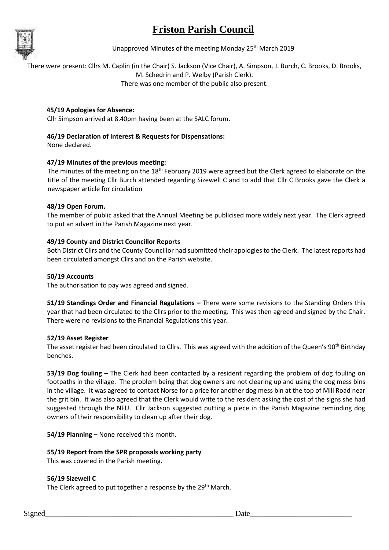# **Friston Parish Council**



Unapproved Minutes of the meeting Monday 25<sup>th</sup> March 2019

There were present: Cllrs M. Caplin (in the Chair) S. Jackson (Vice Chair), A. Simpson, J. Burch, C. Brooks, D. Brooks, M. Schedrin and P. Welby (Parish Clerk).

There was one member of the public also present.

## **45/19 Apologies for Absence:**

Cllr Simpson arrived at 8.40pm having been at the SALC forum.

## **46/19 Declaration of Interest & Requests for Dispensations:**

None declared.

## **47/19 Minutes of the previous meeting:**

The minutes of the meeting on the  $18<sup>th</sup>$  February 2019 were agreed but the Clerk agreed to elaborate on the title of the meeting Cllr Burch attended regarding Sizewell C and to add that Cllr C Brooks gave the Clerk a newspaper article for circulation

### **48/19 Open Forum.**

The member of public asked that the Annual Meeting be publicised more widely next year. The Clerk agreed to put an advert in the Parish Magazine next year.

## **49/19 County and District Councillor Reports**

Both District Cllrs and the County Councillor had submitted their apologies to the Clerk. The latest reports had been circulated amongst Cllrs and on the Parish website.

### **50/19 Accounts**

The authorisation to pay was agreed and signed.

**51/19 Standings Order and Financial Regulations –** There were some revisions to the Standing Orders this year that had been circulated to the Cllrs prior to the meeting. This was then agreed and signed by the Chair. There were no revisions to the Financial Regulations this year.

## **52/19 Asset Register**

The asset register had been circulated to Cllrs. This was agreed with the addition of the Queen's 90<sup>th</sup> Birthday benches.

**53/19 Dog fouling –** The Clerk had been contacted by a resident regarding the problem of dog fouling on footpaths in the village. The problem being that dog owners are not clearing up and using the dog mess bins in the village. It was agreed to contact Norse for a price for another dog mess bin at the top of Mill Road near the grit bin. It was also agreed that the Clerk would write to the resident asking the cost of the signs she had suggested through the NFU. Cllr Jackson suggested putting a piece in the Parish Magazine reminding dog owners of their responsibility to clean up after their dog.

**54/19 Planning –** None received this month.

## **55/19 Report from the SPR proposals working party**

This was covered in the Parish meeting.

## **56/19 Sizewell C**

The Clerk agreed to put together a response by the 29<sup>th</sup> March.